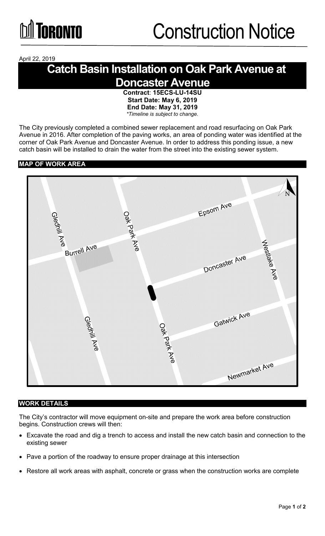April 22, 2019

# **Catch Basin Installation on Oak Park Avenue at Doncaster Avenue**

**Contract**: **15ECS-LU-14SU Start Date: May 6, 2019 End Date: May 31, 2019** *\*Timeline is subject to change.*

The City previously completed a combined sewer replacement and road resurfacing on Oak Park Avenue in 2016. After completion of the paving works, an area of ponding water was identified at the corner of Oak Park Avenue and Doncaster Avenue. In order to address this ponding issue, a new catch basin will be installed to drain the water from the street into the existing sewer system.

### **MAP OF WORK AREA**



#### **WORK DETAILS**

The City's contractor will move equipment on-site and prepare the work area before construction begins. Construction crews will then:

- Excavate the road and dig a trench to access and install the new catch basin and connection to the existing sewer
- Pave a portion of the roadway to ensure proper drainage at this intersection
- Restore all work areas with asphalt, concrete or grass when the construction works are complete